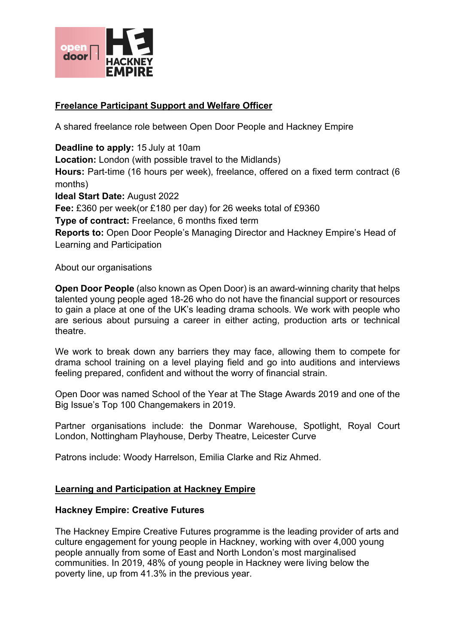

# **Freelance Participant Support and Welfare Officer**

A shared freelance role between Open Door People and Hackney Empire

**Deadline to apply:** 15 July at 10am **Location:** London (with possible travel to the Midlands) **Hours:** Part-time (16 hours per week), freelance, offered on a fixed term contract (6 months) **Ideal Start Date:** August 2022 **Fee:** £360 per week(or £180 per day) for 26 weeks total of £9360 **Type of contract:** Freelance, 6 months fixed term **Reports to:** Open Door People's Managing Director and Hackney Empire's Head of Learning and Participation

About our organisations

**Open Door People** (also known as Open Door) is an award-winning charity that helps talented young people aged 18-26 who do not have the financial support or resources to gain a place at one of the UK's leading drama schools. We work with people who are serious about pursuing a career in either acting, production arts or technical theatre.

We work to break down any barriers they may face, allowing them to compete for drama school training on a level playing field and go into auditions and interviews feeling prepared, confident and without the worry of financial strain.

Open Door was named School of the Year at The Stage Awards 2019 and one of the Big Issue's Top 100 Changemakers in 2019.

Partner organisations include: the Donmar Warehouse, Spotlight, Royal Court London, Nottingham Playhouse, Derby Theatre, Leicester Curve

Patrons include: Woody Harrelson, Emilia Clarke and Riz Ahmed.

### **Learning and Participation at Hackney Empire**

### **Hackney Empire: Creative Futures**

The Hackney Empire Creative Futures programme is the leading provider of arts and culture engagement for young people in Hackney, working with over 4,000 young people annually from some of East and North London's most marginalised communities. In 2019, 48% of young people in Hackney were living below the poverty line, up from 41.3% in the previous year.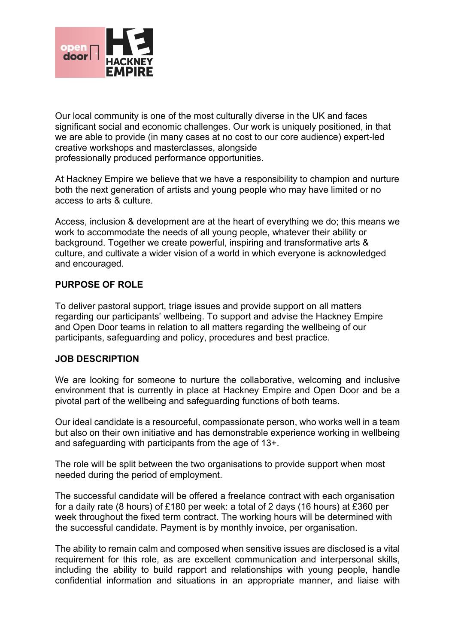

Our local community is one of the most culturally diverse in the UK and faces significant social and economic challenges. Our work is uniquely positioned, in that we are able to provide (in many cases at no cost to our core audience) expert-led creative workshops and masterclasses, alongside professionally produced performance opportunities.

At Hackney Empire we believe that we have a responsibility to champion and nurture both the next generation of artists and young people who may have limited or no access to arts & culture.

Access, inclusion & development are at the heart of everything we do; this means we work to accommodate the needs of all young people, whatever their ability or background. Together we create powerful, inspiring and transformative arts & culture, and cultivate a wider vision of a world in which everyone is acknowledged and encouraged.

### **PURPOSE OF ROLE**

To deliver pastoral support, triage issues and provide support on all matters regarding our participants' wellbeing. To support and advise the Hackney Empire and Open Door teams in relation to all matters regarding the wellbeing of our participants, safeguarding and policy, procedures and best practice.

### **JOB DESCRIPTION**

We are looking for someone to nurture the collaborative, welcoming and inclusive environment that is currently in place at Hackney Empire and Open Door and be a pivotal part of the wellbeing and safeguarding functions of both teams.

Our ideal candidate is a resourceful, compassionate person, who works well in a team but also on their own initiative and has demonstrable experience working in wellbeing and safeguarding with participants from the age of 13+.

The role will be split between the two organisations to provide support when most needed during the period of employment.

The successful candidate will be offered a freelance contract with each organisation for a daily rate (8 hours) of £180 per week: a total of 2 days (16 hours) at £360 per week throughout the fixed term contract. The working hours will be determined with the successful candidate. Payment is by monthly invoice, per organisation.

The ability to remain calm and composed when sensitive issues are disclosed is a vital requirement for this role, as are excellent communication and interpersonal skills, including the ability to build rapport and relationships with young people, handle confidential information and situations in an appropriate manner, and liaise with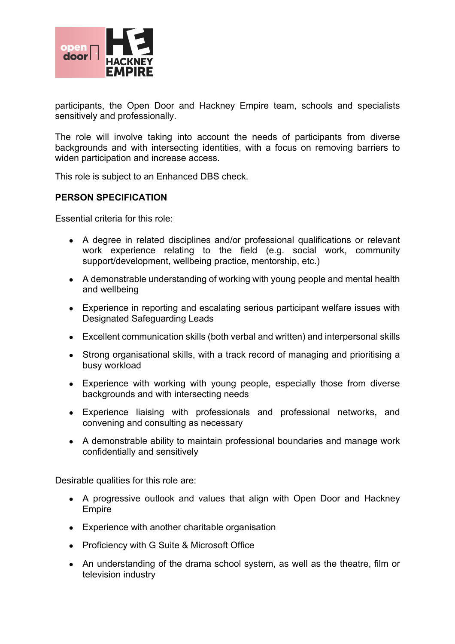

participants, the Open Door and Hackney Empire team, schools and specialists sensitively and professionally.

The role will involve taking into account the needs of participants from diverse backgrounds and with intersecting identities, with a focus on removing barriers to widen participation and increase access.

This role is subject to an Enhanced DBS check.

## **PERSON SPECIFICATION**

Essential criteria for this role:

- A degree in related disciplines and/or professional qualifications or relevant work experience relating to the field (e.g. social work, community support/development, wellbeing practice, mentorship, etc.)
- A demonstrable understanding of working with young people and mental health and wellbeing
- Experience in reporting and escalating serious participant welfare issues with Designated Safeguarding Leads
- Excellent communication skills (both verbal and written) and interpersonal skills
- Strong organisational skills, with a track record of managing and prioritising a busy workload
- Experience with working with young people, especially those from diverse backgrounds and with intersecting needs
- Experience liaising with professionals and professional networks, and convening and consulting as necessary
- A demonstrable ability to maintain professional boundaries and manage work confidentially and sensitively

Desirable qualities for this role are:

- A progressive outlook and values that align with Open Door and Hackney Empire
- Experience with another charitable organisation
- Proficiency with G Suite & Microsoft Office
- An understanding of the drama school system, as well as the theatre, film or television industry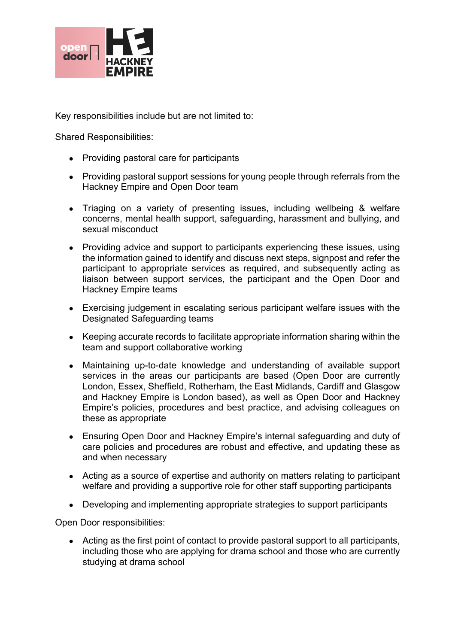

Key responsibilities include but are not limited to:

Shared Responsibilities:

- Providing pastoral care for participants
- Providing pastoral support sessions for young people through referrals from the Hackney Empire and Open Door team
- Triaging on a variety of presenting issues, including wellbeing & welfare concerns, mental health support, safeguarding, harassment and bullying, and sexual misconduct
- Providing advice and support to participants experiencing these issues, using the information gained to identify and discuss next steps, signpost and refer the participant to appropriate services as required, and subsequently acting as liaison between support services, the participant and the Open Door and Hackney Empire teams
- Exercising judgement in escalating serious participant welfare issues with the Designated Safeguarding teams
- Keeping accurate records to facilitate appropriate information sharing within the team and support collaborative working
- Maintaining up-to-date knowledge and understanding of available support services in the areas our participants are based (Open Door are currently London, Essex, Sheffield, Rotherham, the East Midlands, Cardiff and Glasgow and Hackney Empire is London based), as well as Open Door and Hackney Empire's policies, procedures and best practice, and advising colleagues on these as appropriate
- Ensuring Open Door and Hackney Empire's internal safeguarding and duty of care policies and procedures are robust and effective, and updating these as and when necessary
- Acting as a source of expertise and authority on matters relating to participant welfare and providing a supportive role for other staff supporting participants
- Developing and implementing appropriate strategies to support participants

Open Door responsibilities:

• Acting as the first point of contact to provide pastoral support to all participants, including those who are applying for drama school and those who are currently studying at drama school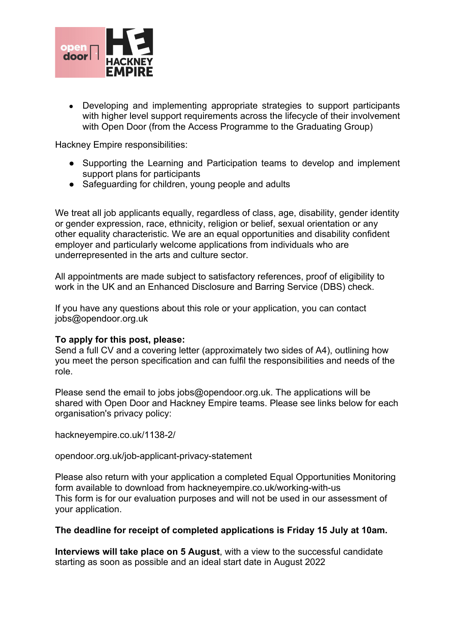

• Developing and implementing appropriate strategies to support participants with higher level support requirements across the lifecycle of their involvement with Open Door (from the Access Programme to the Graduating Group)

Hackney Empire responsibilities:

- Supporting the Learning and Participation teams to develop and implement support plans for participants
- Safeguarding for children, young people and adults

We treat all job applicants equally, regardless of class, age, disability, gender identity or gender expression, race, ethnicity, religion or belief, sexual orientation or any other equality characteristic. We are an equal opportunities and disability confident employer and particularly welcome applications from individuals who are underrepresented in the arts and culture sector.

All appointments are made subject to satisfactory references, proof of eligibility to work in the UK and an Enhanced Disclosure and Barring Service (DBS) check.

If you have any questions about this role or your application, you can contact jobs@opendoor.org.uk

### **To apply for this post, please:**

Send a full CV and a covering letter (approximately two sides of A4), outlining how you meet the person specification and can fulfil the responsibilities and needs of the role.

Please send the email to jobs jobs@opendoor.org.uk. The applications will be shared with Open Door and Hackney Empire teams. Please see links below for each organisation's privacy policy:

hackneyempire.co.uk/1138-2/

opendoor.org.uk/job-applicant-privacy-statement

Please also return with your application a completed Equal Opportunities Monitoring form available to download from hackneyempire.co.uk/working-with-us This form is for our evaluation purposes and will not be used in our assessment of your application.

### **The deadline for receipt of completed applications is Friday 15 July at 10am.**

**Interviews will take place on 5 August**, with a view to the successful candidate starting as soon as possible and an ideal start date in August 2022